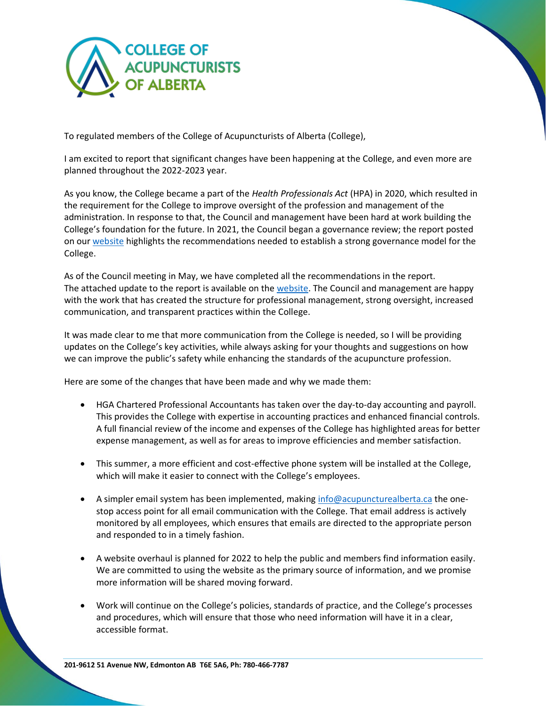

To regulated members of the College of Acupuncturists of Alberta (College),

I am excited to report that significant changes have been happening at the College, and even more are planned throughout the 2022-2023 year.

As you know, the College became a part of the *Health Professionals Act* (HPA) in 2020, which resulted in the requirement for the College to improve oversight of the profession and management of the administration. In response to that, the Council and management have been hard at work building the College's foundation for the future. In 2021, the Council began a governance review; the report posted on our [website](https://acupuncturealberta.ca/wp-content/uploads/2022/02/CAA-Operations-Procedures-and-Governance-Final-Report-Web-Version-V1-10Nov2021-1.pdf) highlights the recommendations needed to establish a strong governance model for the College.

As of the Council meeting in May, we have completed all the recommendations in the report. The attached update to the report is available on the [website.](https://acupuncturealberta.ca/wp-content/uploads/2022/06/OPGR-Report-Implemetation-Report-Update-12May2022.pdf) The Council and management are happy with the work that has created the structure for professional management, strong oversight, increased communication, and transparent practices within the College.

It was made clear to me that more communication from the College is needed, so I will be providing updates on the College's key activities, while always asking for your thoughts and suggestions on how we can improve the public's safety while enhancing the standards of the acupuncture profession.

Here are some of the changes that have been made and why we made them:

- HGA Chartered Professional Accountants has taken over the day-to-day accounting and payroll. This provides the College with expertise in accounting practices and enhanced financial controls. A full financial review of the income and expenses of the College has highlighted areas for better expense management, as well as for areas to improve efficiencies and member satisfaction.
- This summer, a more efficient and cost-effective phone system will be installed at the College, which will make it easier to connect with the College's employees.
- A simpler email system has been implemented, making [info@acupuncturealberta.ca](mailto:info@acupuncturealberta.ca) the onestop access point for all email communication with the College. That email address is actively monitored by all employees, which ensures that emails are directed to the appropriate person and responded to in a timely fashion.
- A website overhaul is planned for 2022 to help the public and members find information easily. We are committed to using the website as the primary source of information, and we promise more information will be shared moving forward.
- Work will continue on the College's policies, standards of practice, and the College's processes and procedures, which will ensure that those who need information will have it in a clear, accessible format.